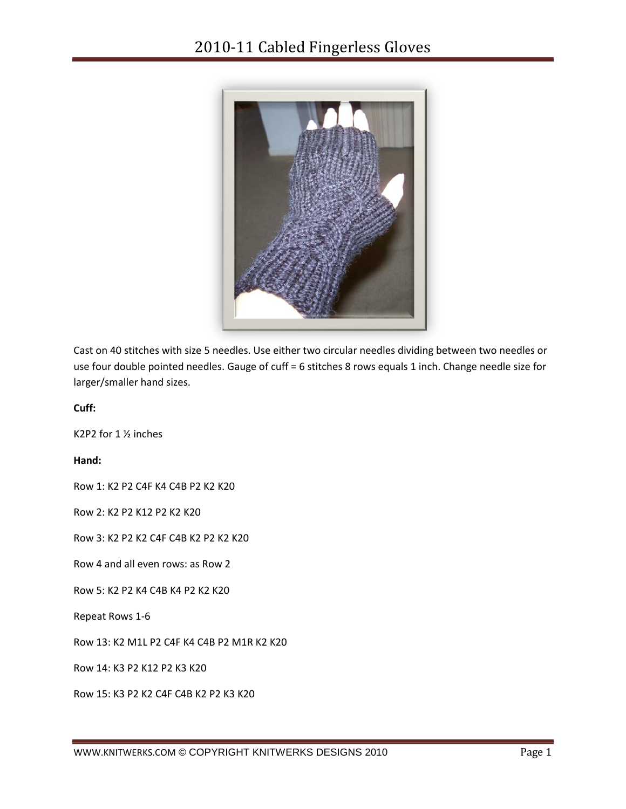

Cast on 40 stitches with size 5 needles. Use either two circular needles dividing between two needles or use four double pointed needles. Gauge of cuff = 6 stitches 8 rows equals 1 inch. Change needle size for larger/smaller hand sizes.

**Cuff:**

K2P2 for 1 ½ inches

**Hand:**

Row 1: K2 P2 C4F K4 C4B P2 K2 K20

Row 2: K2 P2 K12 P2 K2 K20

Row 3: K2 P2 K2 C4F C4B K2 P2 K2 K20

Row 4 and all even rows: as Row 2

Row 5: K2 P2 K4 C4B K4 P2 K2 K20

Repeat Rows 1-6

Row 13: K2 M1L P2 C4F K4 C4B P2 M1R K2 K20

Row 14: K3 P2 K12 P2 K3 K20

Row 15: K3 P2 K2 C4F C4B K2 P2 K3 K20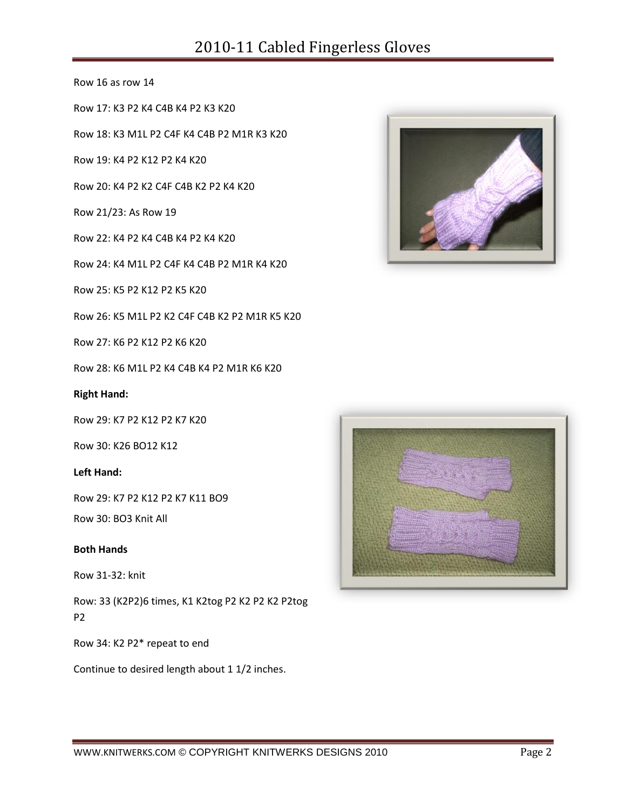## 2010-11 Cabled Fingerless Gloves

Row 16 as row 14

Row 17: K3 P2 K4 C4B K4 P2 K3 K20

Row 18: K3 M1L P2 C4F K4 C4B P2 M1R K3 K20

Row 19: K4 P2 K12 P2 K4 K20

Row 20: K4 P2 K2 C4F C4B K2 P2 K4 K20

Row 21/23: As Row 19

Row 22: K4 P2 K4 C4B K4 P2 K4 K20

Row 24: K4 M1L P2 C4F K4 C4B P2 M1R K4 K20

Row 25: K5 P2 K12 P2 K5 K20

Row 26: K5 M1L P2 K2 C4F C4B K2 P2 M1R K5 K20

Row 27: K6 P2 K12 P2 K6 K20

Row 28: K6 M1L P2 K4 C4B K4 P2 M1R K6 K20

**Right Hand:**

Row 29: K7 P2 K12 P2 K7 K20

Row 30: K26 BO12 K12

**Left Hand:**

Row 29: K7 P2 K12 P2 K7 K11 BO9

Row 30: BO3 Knit All

## **Both Hands**

Row 31-32: knit

Row: 33 (K2P2)6 times, K1 K2tog P2 K2 P2 K2 P2tog P2

Row 34: K2 P2\* repeat to end

Continue to desired length about 1 1/2 inches.